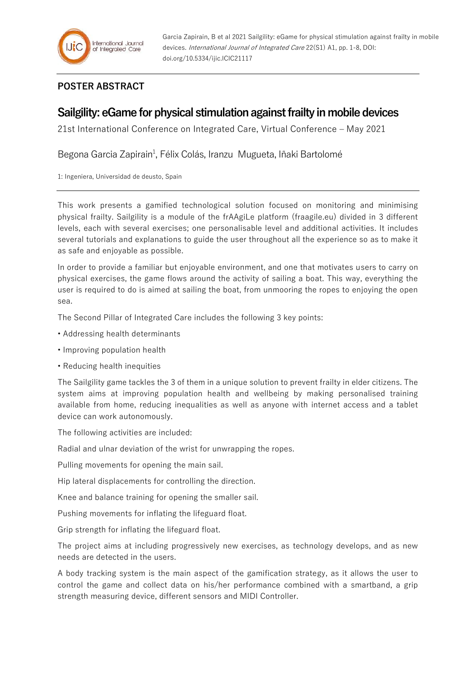## **POSTER ABSTRACT**

## **Sailgility: eGame for physical stimulation against frailty in mobile devices**

21st International Conference on Integrated Care, Virtual Conference – May 2021

Begona Garcia Zapirain<sup>1</sup>, Félix Colás, Iranzu Mugueta, Iñaki Bartolomé

1: Ingeniera, Universidad de deusto, Spain

This work presents a gamified technological solution focused on monitoring and minimising physical frailty. Sailgility is a module of the frAAgiLe platform (fraagile.eu) divided in 3 different levels, each with several exercises; one personalisable level and additional activities. It includes several tutorials and explanations to guide the user throughout all the experience so as to make it as safe and enjoyable as possible.

In order to provide a familiar but enjoyable environment, and one that motivates users to carry on physical exercises, the game flows around the activity of sailing a boat. This way, everything the user is required to do is aimed at sailing the boat, from unmooring the ropes to enjoying the open sea.

The Second Pillar of Integrated Care includes the following 3 key points:

- Addressing health determinants
- Improving population health
- Reducing health inequities

The Sailgility game tackles the 3 of them in a unique solution to prevent frailty in elder citizens. The system aims at improving population health and wellbeing by making personalised training available from home, reducing inequalities as well as anyone with internet access and a tablet device can work autonomously.

The following activities are included:

Radial and ulnar deviation of the wrist for unwrapping the ropes.

Pulling movements for opening the main sail.

Hip lateral displacements for controlling the direction.

Knee and balance training for opening the smaller sail.

Pushing movements for inflating the lifeguard float.

Grip strength for inflating the lifeguard float.

The project aims at including progressively new exercises, as technology develops, and as new needs are detected in the users.

A body tracking system is the main aspect of the gamification strategy, as it allows the user to control the game and collect data on his/her performance combined with a smartband, a grip strength measuring device, different sensors and MIDI Controller.